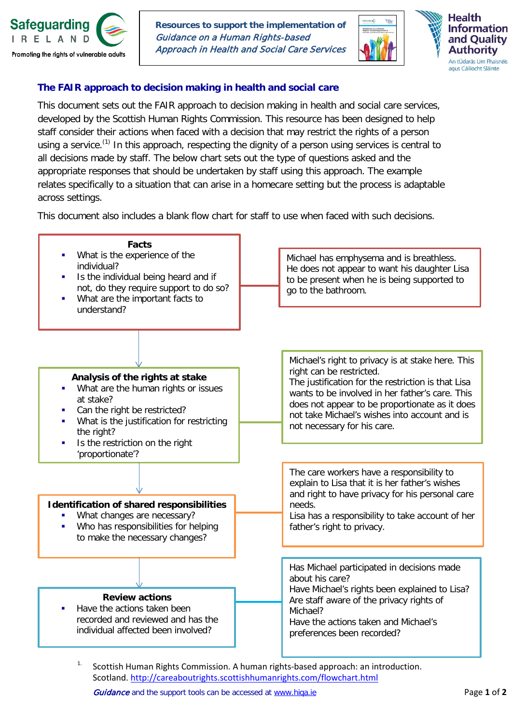

**Resources to support the implementation of** Guidance on a Human Rights-based Approach in Health and Social Care Services





## **The FAIR approach to decision making in health and social care**

This document sets out the FAIR approach to decision making in health and social care services, developed by the Scottish Human Rights Commission. This resource has been designed to help staff consider their actions when faced with a decision that may restrict the rights of a person using a service.<sup>(1)</sup> In this approach, respecting the dignity of a person using services is central to all decisions made by staff. The below chart sets out the type of questions asked and the appropriate responses that should be undertaken by staff using this approach. The example relates specifically to a situation that can arise in a homecare setting but the process is adaptable across settings.

This document also includes a blank flow chart for staff to use when faced with such decisions.



1. Scottish Human Rights Commission. A human rights-based approach: an introduction. Scotland. <http://careaboutrights.scottishhumanrights.com/flowchart.html>